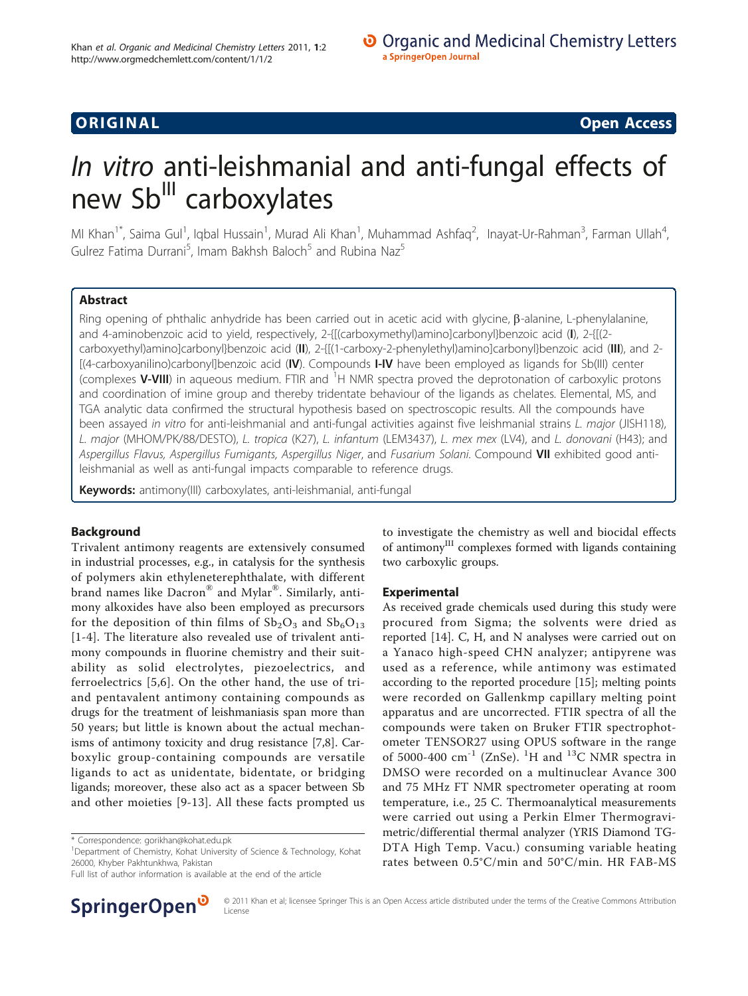# ORIGINA L Open Access

# In vitro anti-leishmanial and anti-fungal effects of new Sb<sup>III</sup> carboxylates

MI Khan<sup>1\*</sup>, Saima Gul<sup>1</sup>, Iqbal Hussain<sup>1</sup>, Murad Ali Khan<sup>1</sup>, Muhammad Ashfaq<sup>2</sup>, Inayat-Ur-Rahman<sup>3</sup>, Farman Ullah<sup>4</sup> , Gulrez Fatima Durrani<sup>5</sup>, Imam Bakhsh Baloch<sup>5</sup> and Rubina Naz<sup>5</sup>

# Abstract

Ring opening of phthalic anhydride has been carried out in acetic acid with glycine,  $\beta$ -alanine, L-phenylalanine, and 4-aminobenzoic acid to yield, respectively, 2-{[(carboxymethyl)amino]carbonyl}benzoic acid (I), 2-{[(2 carboxyethyl)amino]carbonyl}benzoic acid (II), 2-{[(1-carboxy-2-phenylethyl)amino]carbonyl}benzoic acid (III), and 2-[(4-carboxyanilino)carbonyl]benzoic acid (IV). Compounds I-IV have been employed as ligands for Sb(III) center (complexes V-VIII) in aqueous medium. FTIR and <sup>1</sup>H NMR spectra proved the deprotonation of carboxylic protons and coordination of imine group and thereby tridentate behaviour of the ligands as chelates. Elemental, MS, and TGA analytic data confirmed the structural hypothesis based on spectroscopic results. All the compounds have been assayed in vitro for anti-leishmanial and anti-fungal activities against five leishmanial strains L. major (JISH118), L. major (MHOM/PK/88/DESTO), L. tropica (K27), L. infantum (LEM3437), L. mex mex (LV4), and L. donovani (H43); and Aspergillus Flavus, Aspergillus Fumigants, Aspergillus Niger, and Fusarium Solani. Compound VII exhibited good antileishmanial as well as anti-fungal impacts comparable to reference drugs.

Keywords: antimony(III) carboxylates, anti-leishmanial, anti-fungal

# Background

Trivalent antimony reagents are extensively consumed in industrial processes, e.g., in catalysis for the synthesis of polymers akin ethyleneterephthalate, with different brand names like Dacron® and Mylar®. Similarly, antimony alkoxides have also been employed as precursors for the deposition of thin films of  $Sb_2O_3$  and  $Sb_6O_{13}$ [[1](#page-5-0)-[4\]](#page-5-0). The literature also revealed use of trivalent antimony compounds in fluorine chemistry and their suitability as solid electrolytes, piezoelectrics, and ferroelectrics [[5](#page-5-0),[6\]](#page-5-0). On the other hand, the use of triand pentavalent antimony containing compounds as drugs for the treatment of leishmaniasis span more than 50 years; but little is known about the actual mechanisms of antimony toxicity and drug resistance [[7,8\]](#page-5-0). Carboxylic group-containing compounds are versatile ligands to act as unidentate, bidentate, or bridging ligands; moreover, these also act as a spacer between Sb and other moieties [[9](#page-5-0)-[13\]](#page-5-0). All these facts prompted us

<sup>1</sup>Department of Chemistry, Kohat University of Science & Technology, Kohat 26000, Khyber Pakhtunkhwa, Pakistan

Full list of author information is available at the end of the article



to investigate the chemistry as well and biocidal effects of antimony<sup>III</sup> complexes formed with ligands containing two carboxylic groups.

# Experimental

As received grade chemicals used during this study were procured from Sigma; the solvents were dried as reported [\[14](#page-5-0)]. C, H, and N analyses were carried out on a Yanaco high-speed CHN analyzer; antipyrene was used as a reference, while antimony was estimated according to the reported procedure [[15\]](#page-5-0); melting points were recorded on Gallenkmp capillary melting point apparatus and are uncorrected. FTIR spectra of all the compounds were taken on Bruker FTIR spectrophotometer TENSOR27 using OPUS software in the range of 5000-400  $\text{cm}^{-1}$  (ZnSe). <sup>1</sup>H and <sup>13</sup>C NMR spectra in DMSO were recorded on a multinuclear Avance 300 and 75 MHz FT NMR spectrometer operating at room temperature, i.e., 25 C. Thermoanalytical measurements were carried out using a Perkin Elmer Thermogravimetric/differential thermal analyzer (YRIS Diamond TG-DTA High Temp. Vacu.) consuming variable heating rates between 0.5°C/min and 50°C/min. HR FAB-MS

<sup>\*</sup> Correspondence: [gorikhan@kohat.edu.pk](mailto:gorikhan@kohat.edu.pk)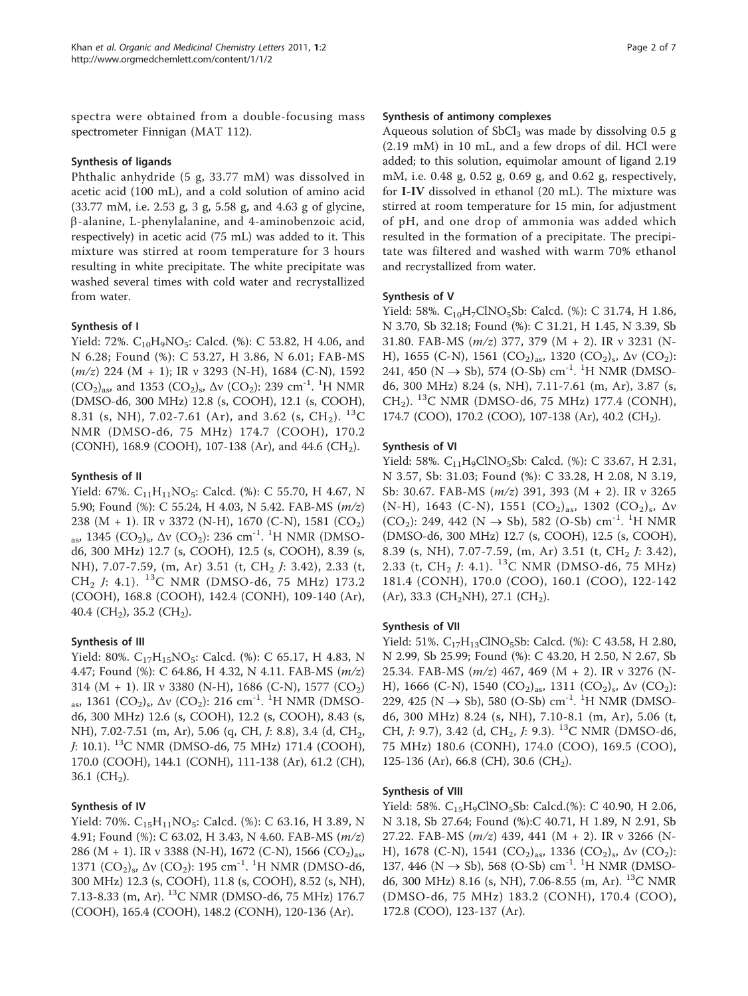spectra were obtained from a double-focusing mass spectrometer Finnigan (MAT 112).

### Synthesis of ligands

Phthalic anhydride (5 g, 33.77 mM) was dissolved in acetic acid (100 mL), and a cold solution of amino acid (33.77 mM, i.e. 2.53 g, 3 g, 5.58 g, and 4.63 g of glycine, b-alanine, L-phenylalanine, and 4-aminobenzoic acid, respectively) in acetic acid (75 mL) was added to it. This mixture was stirred at room temperature for 3 hours resulting in white precipitate. The white precipitate was washed several times with cold water and recrystallized from water.

#### Synthesis of I

Yield: 72%.  $C_{10}H_9NO_5$ : Calcd. (%): C 53.82, H 4.06, and N 6.28; Found (%): C 53.27, H 3.86, N 6.01; FAB-MS  $(m/z)$  224 (M + 1); IR v 3293 (N-H), 1684 (C-N), 1592  $(CO_2)_{\text{as}}$ , and 1353  $(CO_2)_{\text{s}}$ ,  $\Delta v$   $(CO_2)$ : 239 cm<sup>-1</sup>. <sup>1</sup>H NMR (DMSO-d6, 300 MHz) 12.8 (s, COOH), 12.1 (s, COOH), 8.31 (s, NH), 7.02-7.61 (Ar), and 3.62 (s, CH<sub>2</sub>). <sup>13</sup>C NMR (DMSO-d6, 75 MHz) 174.7 (COOH), 170.2 (CONH), 168.9 (COOH), 107-138 (Ar), and 44.6 (CH<sub>2</sub>).

#### Synthesis of II

Yield: 67%.  $C_{11}H_{11}NO_5$ : Calcd. (%): C 55.70, H 4.67, N 5.90; Found (%): C 55.24, H 4.03, N 5.42. FAB-MS (m/z) 238 (M + 1). IR ν 3372 (N-H), 1670 (C-N), 1581 (CO2) <sub>as</sub>, 1345 (CO<sub>2</sub>)<sub>s</sub>, Δν (CO<sub>2</sub>): 236 cm<sup>-1</sup>. <sup>1</sup>H NMR (DMSOd6, 300 MHz) 12.7 (s, COOH), 12.5 (s, COOH), 8.39 (s, NH), 7.07-7.59, (m, Ar) 3.51 (t, CH<sub>2</sub> *J*: 3.42), 2.33 (t,  $CH_2$  J: 4.1). <sup>13</sup>C NMR (DMSO-d6, 75 MHz) 173.2 (COOH), 168.8 (COOH), 142.4 (CONH), 109-140 (Ar), 40.4 (CH<sub>2</sub>), 35.2 (CH<sub>2</sub>).

# Synthesis of III

Yield: 80%.  $C_{17}H_{15}NO_5$ : Calcd. (%): C 65.17, H 4.83, N 4.47; Found (%): C 64.86, H 4.32, N 4.11. FAB-MS (m/z) 314 (M + 1). IR v 3380 (N-H), 1686 (C-N), 1577 (CO<sub>2</sub>) <sub>as</sub>, 1361 (CO<sub>2</sub>)<sub>s</sub>, Δν (CO<sub>2</sub>): 216 cm<sup>-1</sup>. <sup>1</sup>H NMR (DMSOd6, 300 MHz) 12.6 (s, COOH), 12.2 (s, COOH), 8.43 (s, NH), 7.02-7.51 (m, Ar), 5.06 (q, CH, J: 8.8), 3.4 (d, CH<sub>2</sub>,  $J: 10.1$ ). <sup>13</sup>C NMR (DMSO-d6, 75 MHz) 171.4 (COOH), 170.0 (COOH), 144.1 (CONH), 111-138 (Ar), 61.2 (CH), 36.1  $(CH_2)$ .

# Synthesis of IV

Yield: 70%.  $C_{15}H_{11}NO_5$ : Calcd. (%): C 63.16, H 3.89, N 4.91; Found (%): C 63.02, H 3.43, N 4.60. FAB-MS (m/z) 286 (M + 1). IR v 3388 (N-H), 1672 (C-N), 1566 (CO<sub>2</sub>)<sub>as</sub>, 1371 (CO<sub>2</sub>)<sub>s</sub>, Δν (CO<sub>2</sub>): 195 cm<sup>-1</sup>. <sup>1</sup>H NMR (DMSO-d6, 300 MHz) 12.3 (s, COOH), 11.8 (s, COOH), 8.52 (s, NH), 7.13-8.33 (m, Ar). 13C NMR (DMSO-d6, 75 MHz) 176.7 (COOH), 165.4 (COOH), 148.2 (CONH), 120-136 (Ar).

#### Synthesis of antimony complexes

Aqueous solution of  $SbCl<sub>3</sub>$  was made by dissolving 0.5 g (2.19 mM) in 10 mL, and a few drops of dil. HCl were added; to this solution, equimolar amount of ligand 2.19 mM, i.e. 0.48 g, 0.52 g, 0.69 g, and 0.62 g, respectively, for I-IV dissolved in ethanol (20 mL). The mixture was stirred at room temperature for 15 min, for adjustment of pH, and one drop of ammonia was added which resulted in the formation of a precipitate. The precipitate was filtered and washed with warm 70% ethanol and recrystallized from water.

# Synthesis of V

Yield: 58%.  $C_{10}H_7CINO_5Sb$ : Calcd. (%): C 31.74, H 1.86, N 3.70, Sb 32.18; Found (%): C 31.21, H 1.45, N 3.39, Sb 31.80. FAB-MS  $(m/z)$  377, 379  $(M + 2)$ . IR v 3231  $(N -$ H), 1655 (C-N), 1561 (CO<sub>2</sub>)<sub>as</sub>, 1320 (CO<sub>2</sub>)<sub>s</sub>,  $\Delta v$  (CO<sub>2</sub>): 241, 450 (N  $\rightarrow$  Sb), 574 (O-Sb) cm<sup>-1</sup>. <sup>1</sup>H NMR (DMSOd6, 300 MHz) 8.24 (s, NH), 7.11-7.61 (m, Ar), 3.87 (s,  $CH<sub>2</sub>$ ). <sup>13</sup>C NMR (DMSO-d6, 75 MHz) 177.4 (CONH), 174.7 (COO), 170.2 (COO), 107-138 (Ar), 40.2 (CH<sub>2</sub>).

#### Synthesis of VI

Yield: 58%.  $C_{11}H_9CINO_5Sb$ : Calcd. (%): C 33.67, H 2.31, N 3.57, Sb: 31.03; Found (%): C 33.28, H 2.08, N 3.19, Sb: 30.67. FAB-MS (m/z) 391, 393 (M + 2). IR ν 3265 (N-H), 1643 (C-N), 1551 (CO<sub>2</sub>)<sub>as</sub>, 1302 (CO<sub>2</sub>)<sub>s</sub>,  $\Delta v$  $(CO_2)$ : 249, 442 (N  $\rightarrow$  Sb), 582 (O-Sb) cm<sup>-1</sup>. <sup>1</sup>H NMR (DMSO-d6, 300 MHz) 12.7 (s, COOH), 12.5 (s, COOH), 8.39 (s, NH), 7.07-7.59, (m, Ar) 3.51 (t, CH<sub>2</sub> J: 3.42), 2.33 (t, CH<sub>2</sub> J: 4.1). <sup>13</sup>C NMR (DMSO-d6, 75 MHz) 181.4 (CONH), 170.0 (COO), 160.1 (COO), 122-142  $(Ar)$ , 33.3 (CH<sub>2</sub>NH), 27.1 (CH<sub>2</sub>).

# Synthesis of VII

Yield: 51%. C<sub>17</sub>H<sub>13</sub>ClNO<sub>5</sub>Sb: Calcd. (%): C 43.58, H 2.80, N 2.99, Sb 25.99; Found (%): C 43.20, H 2.50, N 2.67, Sb 25.34. FAB-MS (m/z) 467, 469 (M + 2). IR ν 3276 (N-H), 1666 (C-N), 1540 (CO<sub>2</sub>)<sub>as</sub>, 1311 (CO<sub>2</sub>)<sub>s</sub>,  $\Delta v$  (CO<sub>2</sub>): 229, 425 (N  $\rightarrow$  Sb), 580 (O-Sb) cm<sup>-1</sup>. <sup>1</sup>H NMR (DMSOd6, 300 MHz) 8.24 (s, NH), 7.10-8.1 (m, Ar), 5.06 (t, CH,  $J: 9.7$ ), 3.42 (d, CH<sub>2</sub>,  $J: 9.3$ ). <sup>13</sup>C NMR (DMSO-d6, 75 MHz) 180.6 (CONH), 174.0 (COO), 169.5 (COO), 125-136 (Ar), 66.8 (CH), 30.6 (CH<sub>2</sub>).

# Synthesis of VIII

Yield: 58%. C<sub>15</sub>H<sub>9</sub>ClNO<sub>5</sub>Sb: Calcd.(%): C 40.90, H 2.06, N 3.18, Sb 27.64; Found (%):C 40.71, H 1.89, N 2.91, Sb 27.22. FAB-MS  $(m/z)$  439, 441  $(M + 2)$ . IR v 3266 (N-H), 1678 (C-N), 1541  $(CO_2)_{as}$ , 1336  $(CO_2)_{s}$ ,  $\Delta v$   $(CO_2)$ : 137, 446 (N  $\rightarrow$  Sb), 568 (O-Sb) cm<sup>-1</sup>. <sup>1</sup>H NMR (DMSOd6, 300 MHz) 8.16 (s, NH), 7.06-8.55 (m, Ar). 13C NMR (DMSO-d6, 75 MHz) 183.2 (CONH), 170.4 (COO), 172.8 (COO), 123-137 (Ar).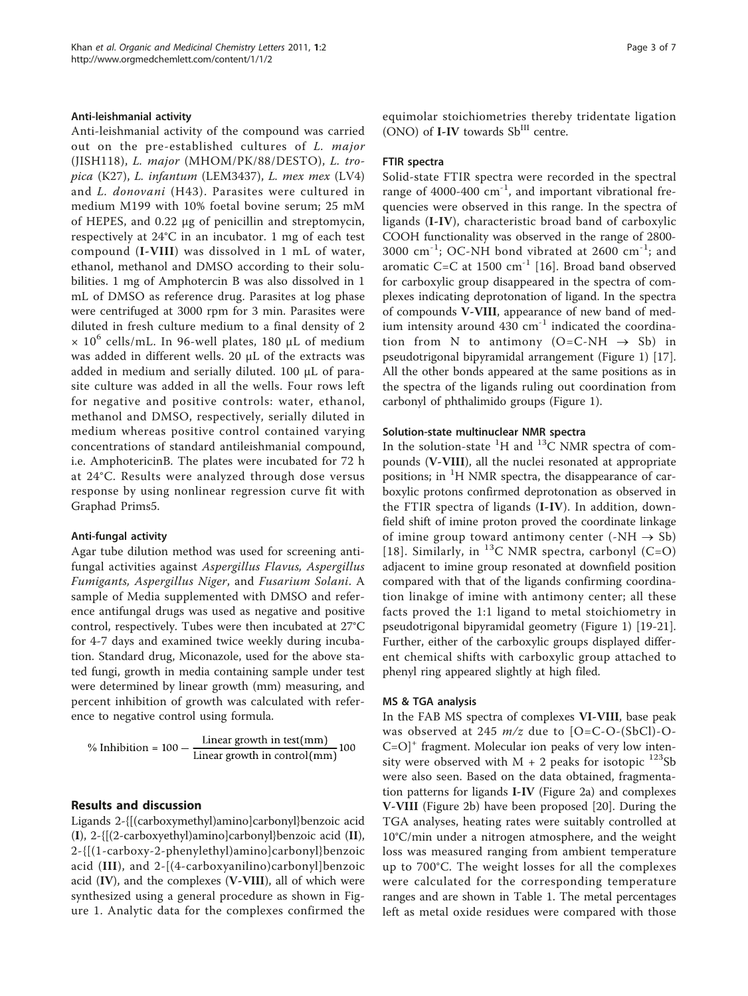#### Anti-leishmanial activity

Anti-leishmanial activity of the compound was carried out on the pre-established cultures of L. major (JISH118), L. major (MHOM/PK/88/DESTO), L. tropica (K27), L. infantum (LEM3437), L. mex mex (LV4) and L. donovani (H43). Parasites were cultured in medium M199 with 10% foetal bovine serum; 25 mM of HEPES, and 0.22 μg of penicillin and streptomycin, respectively at 24°C in an incubator. 1 mg of each test compound (I-VIII) was dissolved in 1 mL of water, ethanol, methanol and DMSO according to their solubilities. 1 mg of Amphotercin B was also dissolved in 1 mL of DMSO as reference drug. Parasites at log phase were centrifuged at 3000 rpm for 3 min. Parasites were diluted in fresh culture medium to a final density of 2  $\times$  10<sup>6</sup> cells/mL. In 96-well plates, 180 μL of medium was added in different wells. 20 μL of the extracts was added in medium and serially diluted. 100 μL of parasite culture was added in all the wells. Four rows left for negative and positive controls: water, ethanol, methanol and DMSO, respectively, serially diluted in medium whereas positive control contained varying concentrations of standard antileishmanial compound, i.e. AmphotericinB. The plates were incubated for 72 h at 24°C. Results were analyzed through dose versus response by using nonlinear regression curve fit with Graphad Prims5.

#### Anti-fungal activity

Agar tube dilution method was used for screening antifungal activities against Aspergillus Flavus, Aspergillus Fumigants, Aspergillus Niger, and Fusarium Solani. A sample of Media supplemented with DMSO and reference antifungal drugs was used as negative and positive control, respectively. Tubes were then incubated at 27°C for 4-7 days and examined twice weekly during incubation. Standard drug, Miconazole, used for the above stated fungi, growth in media containing sample under test were determined by linear growth (mm) measuring, and percent inhibition of growth was calculated with reference to negative control using formula.

% Inhibition = 
$$
100 - \frac{\text{Linear growth in test(mm)}}{\text{Linear growth in control(mm}}100
$$

#### Results and discussion

Ligands 2-{[(carboxymethyl)amino]carbonyl}benzoic acid (I), 2-{[(2-carboxyethyl)amino]carbonyl}benzoic acid (II), 2-{[(1-carboxy-2-phenylethyl)amino]carbonyl}benzoic acid (III), and 2-[(4-carboxyanilino)carbonyl]benzoic acid (IV), and the complexes (V-VIII), all of which were synthesized using a general procedure as shown in Figure [1.](#page-3-0) Analytic data for the complexes confirmed the equimolar stoichiometries thereby tridentate ligation (ONO) of I-IV towards Sb<sup>III</sup> centre.

#### FTIR spectra

Solid-state FTIR spectra were recorded in the spectral range of  $4000-400$   $cm^{-1}$ , and important vibrational frequencies were observed in this range. In the spectra of ligands (I-IV), characteristic broad band of carboxylic COOH functionality was observed in the range of 2800- 3000 cm<sup>-1</sup>; OC-NH bond vibrated at 2600 cm<sup>-1</sup>; and aromatic C=C at  $1500 \text{ cm}^{-1}$  [[16\]](#page-5-0). Broad band observed for carboxylic group disappeared in the spectra of complexes indicating deprotonation of ligand. In the spectra of compounds V-VIII, appearance of new band of medium intensity around  $430 \text{ cm}^{-1}$  indicated the coordination from N to antimony  $(O=C-NH \rightarrow Sb)$  in pseudotrigonal bipyramidal arrangement (Figure [1\)](#page-3-0) [\[17](#page-5-0)]. All the other bonds appeared at the same positions as in the spectra of the ligands ruling out coordination from carbonyl of phthalimido groups (Figure [1](#page-3-0)).

#### Solution-state multinuclear NMR spectra

In the solution-state  ${}^{1}H$  and  ${}^{13}C$  NMR spectra of compounds (V-VIII), all the nuclei resonated at appropriate positions; in <sup>1</sup>H NMR spectra, the disappearance of carboxylic protons confirmed deprotonation as observed in the FTIR spectra of ligands (I-IV). In addition, downfield shift of imine proton proved the coordinate linkage of imine group toward antimony center (-NH  $\rightarrow$  Sb) [[18\]](#page-5-0). Similarly, in  $^{13}$ C NMR spectra, carbonyl (C=O) adjacent to imine group resonated at downfield position compared with that of the ligands confirming coordination linakge of imine with antimony center; all these facts proved the 1:1 ligand to metal stoichiometry in pseudotrigonal bipyramidal geometry (Figure [1](#page-3-0)) [[19-21](#page-5-0)]. Further, either of the carboxylic groups displayed different chemical shifts with carboxylic group attached to phenyl ring appeared slightly at high filed.

#### MS & TGA analysis

In the FAB MS spectra of complexes VI-VIII, base peak was observed at 245  $m/z$  due to [O=C-O-(SbCl)-O- $C=O$ <sup>+</sup> fragment. Molecular ion peaks of very low intensity were observed with  $M + 2$  peaks for isotopic <sup>123</sup>Sb were also seen. Based on the data obtained, fragmentation patterns for ligands I-IV (Figure [2a\)](#page-3-0) and complexes V-VIII (Figure [2b](#page-3-0)) have been proposed [[20\]](#page-5-0). During the TGA analyses, heating rates were suitably controlled at 10°C/min under a nitrogen atmosphere, and the weight loss was measured ranging from ambient temperature up to 700°C. The weight losses for all the complexes were calculated for the corresponding temperature ranges and are shown in Table [1](#page-4-0). The metal percentages left as metal oxide residues were compared with those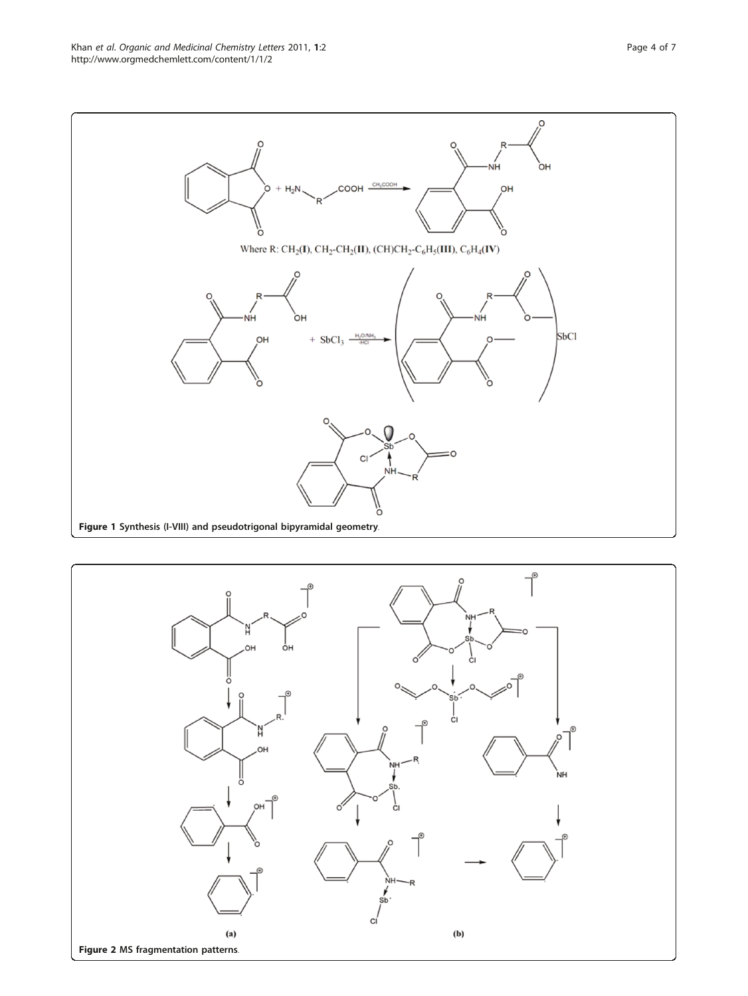<span id="page-3-0"></span>

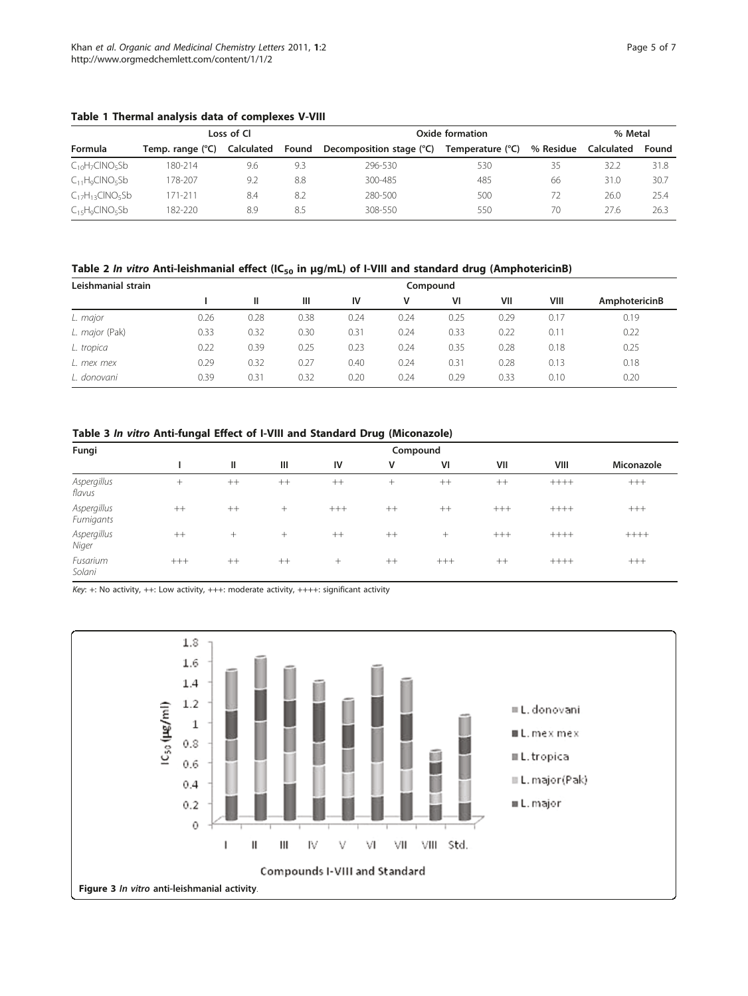<span id="page-4-0"></span>

|  |  |  |  |  |  | Table 1 Thermal analysis data of complexes V-VIII |  |
|--|--|--|--|--|--|---------------------------------------------------|--|
|--|--|--|--|--|--|---------------------------------------------------|--|

|                        |                  | Loss of Cl |       | Oxide formation          | % Metal          |           |            |       |
|------------------------|------------------|------------|-------|--------------------------|------------------|-----------|------------|-------|
| Formula                | Temp. range (°C) | Calculated | Found | Decomposition stage (°C) | Temperature (°C) | % Residue | Calculated | Found |
| $C_{10}H_7CINO_5Sb$    | 180-214          | 9.6        | 9.3   | 296-530                  | 530              | 35        | 32.2       | 31.8  |
| $C_{11}H_9CINO_5Sb$    | 178-207          | 9.2        | 8.8   | 300-485                  | 485              | 66        | 31.0       | 30.7  |
| $C_{17}H_{13}CINO_5Sb$ | 171-211          | 8.4        | 8.2   | 280-500                  | 500              | 72        | 26.0       | 25.4  |
| $C_{15}H_9CINO_5Sb$    | 182-220          | 8.9        | 8.5   | 308-550                  | 550              | 70        | 27.6       | 26.3  |

Table 2 In vitro Anti-leishmanial effect (IC<sub>50</sub> in  $\mu$ g/mL) of I-VIII and standard drug (AmphotericinB)

| Leishmanial strain |      |               | Compound |      |      |      |      |      |               |
|--------------------|------|---------------|----------|------|------|------|------|------|---------------|
|                    |      | Ш             | Ш        | IV   | v    | VI   | VII  | VIII | AmphotericinB |
| L. major           | 0.26 | 0.28          | 0.38     | 0.24 | 0.24 | 0.25 | 0.29 | 0.17 | 0.19          |
| L. major (Pak)     | 0.33 | 0.32          | 0.30     | 0.31 | 0.24 | 0.33 | 0.22 | 0.11 | 0.22          |
| L. tropica         | 0.22 | 0.39          | 0.25     | 0.23 | 0.24 | 0.35 | 0.28 | 0.18 | 0.25          |
| L. mex mex         | 0.29 | 0.32          | 0.27     | 0.40 | 0.24 | 0.31 | 0.28 | 0.13 | 0.18          |
| L. donovani        | 0.39 | $0.3^{\circ}$ | 0.32     | 0.20 | 0.24 | 0.29 | 0.33 | 0.10 | 0.20          |

# Table 3 In vitro Anti-fungal Effect of I-VIII and Standard Drug (Miconazole)

| Fungi                    |       | Compound |         |         |        |         |       |         |            |  |
|--------------------------|-------|----------|---------|---------|--------|---------|-------|---------|------------|--|
|                          |       | Ш        | Ш       | IV      | ۷      | VI      | VII   | VIII    | Miconazole |  |
| Aspergillus<br>flavus    | ÷.    | $^{++}$  | $^{++}$ | $^{++}$ | $^{+}$ | $^{++}$ | $++$  | $+++++$ | $+++$      |  |
| Aspergillus<br>Fumigants | $++$  | $++$     | $^{+}$  | $+++$   | $++$   | $++$    | $+++$ | $+++++$ | $+++$      |  |
| Aspergillus<br>Niger     | $++$  | $^{+}$   | $^{+}$  | $++$    | $++$   | $^{+}$  | $+++$ | $+++++$ | $++++$     |  |
| Fusarium<br>Solani       | $+++$ | $++$     | $++$    | $^{+}$  | $++$   | $+++$   | $++$  | $+++++$ | $+++$      |  |

Key: +: No activity, ++: Low activity, +++: moderate activity, ++++: significant activity

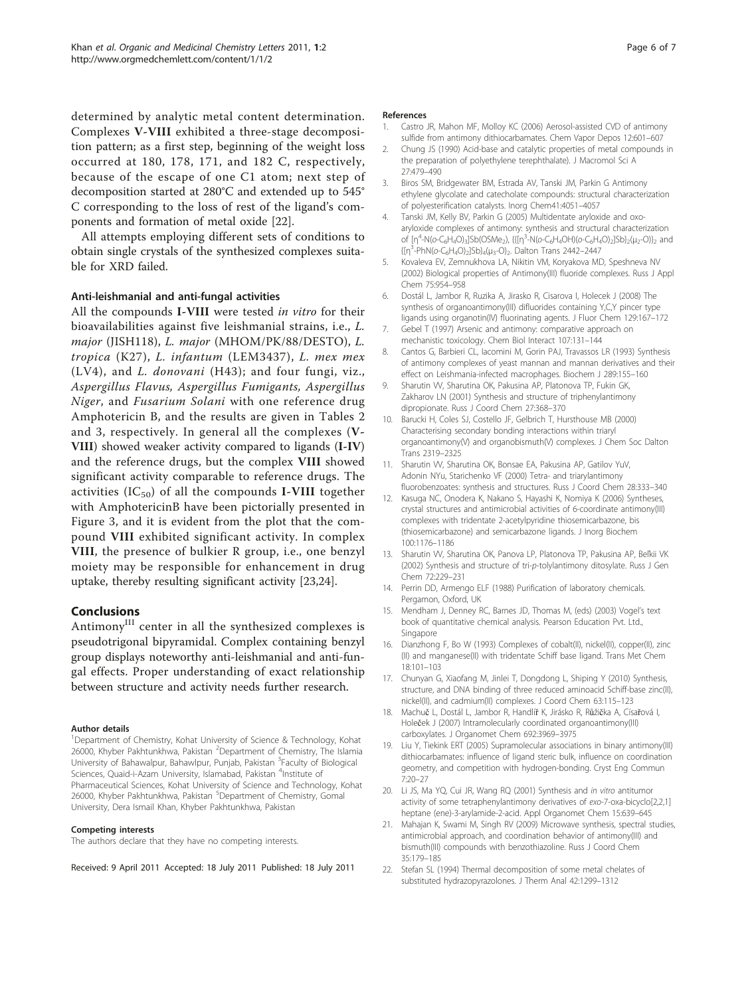<span id="page-5-0"></span>determined by analytic metal content determination. Complexes V-VIII exhibited a three-stage decomposition pattern; as a first step, beginning of the weight loss occurred at 180, 178, 171, and 182 C, respectively, because of the escape of one C1 atom; next step of decomposition started at 280°C and extended up to 545° C corresponding to the loss of rest of the ligand's components and formation of metal oxide [22].

All attempts employing different sets of conditions to obtain single crystals of the synthesized complexes suitable for XRD failed.

#### Anti-leishmanial and anti-fungal activities

All the compounds I-VIII were tested in vitro for their bioavailabilities against five leishmanial strains, i.e., L. major (JISH118), L. major (MHOM/PK/88/DESTO), L. tropica (K27), L. infantum (LEM3437), L. mex mex (LV4), and L. donovani (H43); and four fungi, viz., Aspergillus Flavus, Aspergillus Fumigants, Aspergillus Niger, and Fusarium Solani with one reference drug Amphotericin B, and the results are given in Tables [2](#page-4-0) and [3,](#page-4-0) respectively. In general all the complexes (V-VIII) showed weaker activity compared to ligands (I-IV) and the reference drugs, but the complex VIII showed significant activity comparable to reference drugs. The activities  $(IC_{50})$  of all the compounds I-VIII together with AmphotericinB have been pictorially presented in Figure [3](#page-4-0), and it is evident from the plot that the compound VIII exhibited significant activity. In complex VIII, the presence of bulkier R group, i.e., one benzyl moiety may be responsible for enhancement in drug uptake, thereby resulting significant activity [[23,24](#page-6-0)].

#### Conclusions

Antimony<sup>III</sup> center in all the synthesized complexes is pseudotrigonal bipyramidal. Complex containing benzyl group displays noteworthy anti-leishmanial and anti-fungal effects. Proper understanding of exact relationship between structure and activity needs further research.

#### Author details

<sup>1</sup>Department of Chemistry, Kohat University of Science & Technology, Kohat 26000, Khyber Pakhtunkhwa, Pakistan <sup>2</sup>Department of Chemistry, The Islamia University of Bahawalpur, Bahawlpur, Punjab, Pakistan <sup>3</sup>Faculty of Biological Sciences, Quaid-i-Azam University, Islamabad, Pakistan <sup>4</sup>Institute of Pharmaceutical Sciences, Kohat University of Science and Technology, Kohat 26000, Khyber Pakhtunkhwa, Pakistan <sup>5</sup>Department of Chemistry, Gomal University, Dera Ismail Khan, Khyber Pakhtunkhwa, Pakistan

#### Competing interests

The authors declare that they have no competing interests.

Received: 9 April 2011 Accepted: 18 July 2011 Published: 18 July 2011

#### References

- 1. Castro JR, Mahon MF, Molloy KC (2006) Aerosol-assisted CVD of antimony sulfide from antimony dithiocarbamates. Chem Vapor Depos 12:601–607
- 2. Chung JS (1990) Acid-base and catalytic properties of metal compounds in the preparation of polyethylene terephthalate). J Macromol Sci A 27:479–490
- 3. Biros SM, Bridgewater BM, Estrada AV, Tanski JM, Parkin G Antimony ethylene glycolate and catecholate compounds: structural characterization of polyesterification catalysts. Inorg Chem41:4051–4057
- 4. Tanski JM, Kelly BV, Parkin G (2005) Multidentate aryloxide and oxoaryloxide complexes of antimony: synthesis and structural characterization of [η<sup>4</sup>-N(o-C<sub>6</sub>H<sub>4</sub>O)<sub>3</sub>]Sb(OSMe<sub>2</sub>), {{[η<sup>3</sup>-N(o-C<sub>6</sub>H<sub>4</sub>OH)(o-C<sub>6</sub>H<sub>4</sub>O)<sub>2</sub>]Sb}<sub>2</sub>(μ<sub>2</sub>-O)}<sub>2</sub> and  ${[{\eta}^3$-PhN(o-C_6H_4O)_2]Sb}_4(\mu_3-O)_2$ . Dalton Trans 2442-2447
- 5. Kovaleva EV, Zemnukhova LA, Nikitin VM, Koryakova MD, Speshneva NV (2002) Biological properties of Antimony(III) fluoride complexes. Russ J Appl Chem 75:954–958
- 6. Dostál L, Jambor R, Ruzika A, Jirasko R, Cisarova I, Holecek J (2008) The synthesis of organoantimony(III) difluorides containing Y,C,Y pincer type ligands using organotin(IV) fluorinating agents. J Fluor Chem 129:167–172
- 7. Gebel T (1997) Arsenic and antimony: comparative approach on mechanistic toxicology. Chem Biol Interact 107:131–144
- 8. Cantos G, Barbieri CL, Iacomini M, Gorin PAJ, Travassos LR (1993) Synthesis of antimony complexes of yeast mannan and mannan derivatives and their effect on Leishmania-infected macrophages. Biochem J 289:155–160
- 9. Sharutin VV, Sharutina OK, Pakusina AP, Platonova TP, Fukin GK, Zakharov LN (2001) Synthesis and structure of triphenylantimony dipropionate. Russ J Coord Chem 27:368–370
- 10. Barucki H, Coles SJ, Costello JF, Gelbrich T, Hursthouse MB (2000) Characterising secondary bonding interactions within triaryl organoantimony(V) and organobismuth(V) complexes. J Chem Soc Dalton Trans 2319–2325
- 11. Sharutin VV, Sharutina OK, Bonsae EA, Pakusina AP, Gatilov YuV, Adonin NYu, Starichenko VF (2000) Tetra- and triarylantimony fluorobenzoates: synthesis and structures. Russ J Coord Chem 28:333–340
- 12. Kasuga NC, Onodera K, Nakano S, Hayashi K, Nomiya K (2006) Syntheses, crystal structures and antimicrobial activities of 6-coordinate antimony(III) complexes with tridentate 2-acetylpyridine thiosemicarbazone, bis (thiosemicarbazone) and semicarbazone ligands. J Inorg Biochem 100:1176–1186
- 13. Sharutin VV, Sharutina OK, Panova LP, Platonova TP, Pakusina AP, Beľkii VK (2002) Synthesis and structure of tri-p-tolylantimony ditosylate. Russ J Gen Chem 72:229–231
- 14. Perrin DD, Armengo ELF (1988) Purification of laboratory chemicals. Pergamon, Oxford, UK
- 15. Mendham J, Denney RC, Barnes JD, Thomas M, (eds) (2003) Vogel's text book of quantitative chemical analysis. Pearson Education Pvt. Ltd., Singapore
- 16. Dianzhong F, Bo W (1993) Complexes of cobalt(II), nickel(II), copper(II), zinc (II) and manganese(II) with tridentate Schiff base ligand. Trans Met Chem 18:101–103
- 17. Chunyan G, Xiaofang M, Jinlei T, Dongdong L, Shiping Y (2010) Synthesis, structure, and DNA binding of three reduced aminoacid Schiff-base zinc(II), nickel(II), and cadmium(II) complexes. J Coord Chem 63:115–123
- 18. Machuč L, Dostál L, Jambor R, Handlíř K, Jirásko R, Růžička A, Císařová I, Holeček J (2007) Intramolecularly coordinated organoantimony(III) carboxylates. J Organomet Chem 692:3969–3975
- 19. Liu Y, Tiekink ERT (2005) Supramolecular associations in binary antimony(III) dithiocarbamates: influence of ligand steric bulk, influence on coordination geometry, and competition with hydrogen-bonding. Cryst Eng Commun 7:20–27
- 20. Li JS, Ma YQ, Cui JR, Wang RQ (2001) Synthesis and in vitro antitumor activity of some tetraphenylantimony derivatives of exo-7-oxa-bicyclo[2,2,1] heptane (ene)-3-arylamide-2-acid. Appl Organomet Chem 15:639–645
- 21. Mahajan K, Swami M, Singh RV (2009) Microwave synthesis, spectral studies, antimicrobial approach, and coordination behavior of antimony(III) and bismuth(III) compounds with benzothiazoline. Russ J Coord Chem 35:179–185
- 22. Stefan SL (1994) Thermal decomposition of some metal chelates of substituted hydrazopyrazolones. J Therm Anal 42:1299–1312